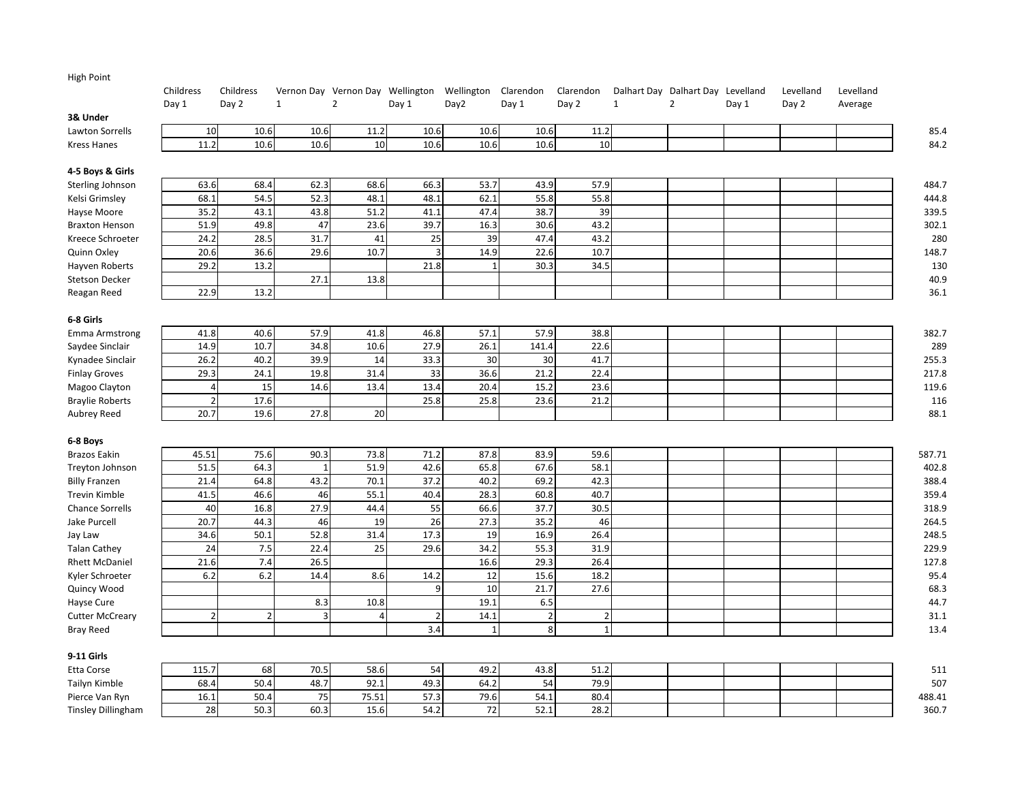| <b>High Point</b>         |                |                |              |                                             |                |                |                |                |              |                                   |       |           |           |
|---------------------------|----------------|----------------|--------------|---------------------------------------------|----------------|----------------|----------------|----------------|--------------|-----------------------------------|-------|-----------|-----------|
|                           | Childress      | Childress      |              | Vernon Day Vernon Day Wellington Wellington |                |                | Clarendon      | Clarendon      |              | Dalhart Day Dalhart Day Levelland |       | Levelland | Levelland |
|                           | Day 1          | Day 2          | $\mathbf{1}$ | $\overline{2}$                              | Day 1          | Day2           | Day 1          | Day 2          | $\mathbf{1}$ | $\overline{2}$                    | Day 1 | Day 2     | Average   |
| 3& Under                  |                |                |              |                                             |                |                |                |                |              |                                   |       |           |           |
| Lawton Sorrells           | 10             | 10.6           | 10.6         | 11.2                                        | 10.6           | 10.6           | 10.6           | 11.2           |              |                                   |       |           | 85.4      |
| <b>Kress Hanes</b>        | 11.2           | 10.6           | 10.6         | 10                                          | 10.6           | 10.6           | 10.6           | 10             |              |                                   |       |           | 84.2      |
| 4-5 Boys & Girls          |                |                |              |                                             |                |                |                |                |              |                                   |       |           |           |
| Sterling Johnson          | 63.6           | 68.4           | 62.3         | 68.6                                        | 66.3           | 53.7           | 43.9           | 57.9           |              |                                   |       |           | 484.7     |
| Kelsi Grimsley            | 68.1           | 54.5           | 52.3         | 48.1                                        | 48.1           | 62.1           | 55.8           | 55.8           |              |                                   |       |           | 444.8     |
| Hayse Moore               | 35.2           | 43.1           | 43.8         | 51.2                                        | 41.1           | 47.4           | 38.7           | 39             |              |                                   |       |           | 339.5     |
| <b>Braxton Henson</b>     | 51.9           | 49.8           | 47           | 23.6                                        | 39.7           | 16.3           | 30.6           | 43.2           |              |                                   |       |           | 302.1     |
| Kreece Schroeter          | 24.2           | 28.5           | 31.7         | 41                                          | 25             | 39             | 47.4           | 43.2           |              |                                   |       |           | 280       |
| Quinn Oxley               | 20.6           | 36.6           | 29.6         | 10.7                                        | $\overline{3}$ | 14.9           | 22.6           | 10.7           |              |                                   |       |           | 148.7     |
| Hayven Roberts            | 29.2           | 13.2           |              |                                             | 21.8           | $\overline{1}$ | 30.3           | 34.5           |              |                                   |       |           | 130       |
| <b>Stetson Decker</b>     |                |                | 27.1         | 13.8                                        |                |                |                |                |              |                                   |       |           | 40.9      |
| Reagan Reed               | 22.9           | 13.2           |              |                                             |                |                |                |                |              |                                   |       |           | 36.1      |
| 6-8 Girls                 |                |                |              |                                             |                |                |                |                |              |                                   |       |           |           |
| <b>Emma Armstrong</b>     | 41.8           | 40.6           | 57.9         | 41.8                                        | 46.8           | 57.1           | 57.9           | 38.8           |              |                                   |       |           | 382.7     |
| Saydee Sinclair           | 14.9           | 10.7           | 34.8         | 10.6                                        | 27.9           | 26.1           | 141.4          | 22.6           |              |                                   |       |           | 289       |
| Kynadee Sinclair          | 26.2           | 40.2           | 39.9         | 14                                          | 33.3           | 30             | 30             | 41.7           |              |                                   |       |           | 255.3     |
| <b>Finlay Groves</b>      | 29.3           | 24.1           | 19.8         | 31.4                                        | 33             | 36.6           | 21.2           | 22.4           |              |                                   |       |           | 217.8     |
| Magoo Clayton             | $\overline{4}$ | 15             | 14.6         | 13.4                                        | 13.4           | 20.4           | 15.2           | 23.6           |              |                                   |       |           | 119.6     |
| <b>Braylie Roberts</b>    | $\overline{2}$ | 17.6           |              |                                             | 25.8           | 25.8           | 23.6           | 21.2           |              |                                   |       |           | 116       |
| Aubrey Reed               | 20.7           | 19.6           | 27.8         | 20                                          |                |                |                |                |              |                                   |       |           | 88.1      |
| 6-8 Boys                  |                |                |              |                                             |                |                |                |                |              |                                   |       |           |           |
| <b>Brazos Eakin</b>       | 45.51          | 75.6           | 90.3         | 73.8                                        | 71.2           | 87.8           | 83.9           | 59.6           |              |                                   |       |           | 587.71    |
| Treyton Johnson           | 51.5           | 64.3           | $\mathbf{1}$ | 51.9                                        | 42.6           | 65.8           | 67.6           | 58.1           |              |                                   |       |           | 402.8     |
| <b>Billy Franzen</b>      | 21.4           | 64.8           | 43.2         | 70.1                                        | 37.2           | 40.2           | 69.2           | 42.3           |              |                                   |       |           | 388.4     |
| Trevin Kimble             | 41.5           | 46.6           | 46           | 55.1                                        | 40.4           | 28.3           | 60.8           | 40.7           |              |                                   |       |           | 359.4     |
| <b>Chance Sorrells</b>    | 40             | 16.8           | 27.9         | 44.4                                        | 55             | 66.6           | 37.7           | 30.5           |              |                                   |       |           | 318.9     |
| Jake Purcell              | 20.7           | 44.3           | 46           | 19                                          | 26             | 27.3           | 35.2           | 46             |              |                                   |       |           | 264.5     |
| Jay Law                   | 34.6           | 50.1           | 52.8         | 31.4                                        | 17.3           | 19             | 16.9           | 26.4           |              |                                   |       |           | 248.5     |
| <b>Talan Cathey</b>       | 24             | 7.5            | 22.4         | 25                                          | 29.6           | 34.2           | 55.3           | 31.9           |              |                                   |       |           | 229.9     |
| <b>Rhett McDaniel</b>     | 21.6           | 7.4            | 26.5         |                                             |                | 16.6           | 29.3           | 26.4           |              |                                   |       |           | 127.8     |
| Kyler Schroeter           | 6.2            | 6.2            | 14.4         | 8.6                                         | 14.2           | 12             | 15.6           | 18.2           |              |                                   |       |           | 95.4      |
| Quincy Wood               |                |                |              |                                             | 9              | 10             | 21.7           | 27.6           |              |                                   |       |           | 68.3      |
| Hayse Cure                |                |                | 8.3          | 10.8                                        |                | 19.1           | 6.5            |                |              |                                   |       |           | 44.7      |
| <b>Cutter McCreary</b>    | $\overline{2}$ | $\overline{2}$ | 3            | $\overline{4}$                              | $\overline{2}$ | 14.1           | $\overline{2}$ | $\overline{2}$ |              |                                   |       |           | 31.1      |
| <b>Bray Reed</b>          |                |                |              |                                             | 3.4            | $\mathbf{1}$   | 8              | $\mathbf{1}$   |              |                                   |       |           | 13.4      |
| 9-11 Girls                |                |                |              |                                             |                |                |                |                |              |                                   |       |           |           |
| Etta Corse                | 115.7          | 68             | 70.5         | 58.6                                        | 54             | 49.2           | 43.8           | 51.2           |              |                                   |       |           | 511       |
| Tailyn Kimble             | 68.4           | 50.4           | 48.7         | 92.1                                        | 49.3           | 64.2           | 54             | 79.9           |              |                                   |       |           | 507       |
| Pierce Van Ryn            | 16.1           | 50.4           | 75           | 75.51                                       | 57.3           | 79.6           | 54.1           | 80.4           |              |                                   |       |           | 488.41    |
| <b>Tinsley Dillingham</b> | 28             | 50.3           | 60.3         | 15.6                                        | 54.2           | 72             | 52.1           | 28.2           |              |                                   |       |           | 360.7     |
|                           |                |                |              |                                             |                |                |                |                |              |                                   |       |           |           |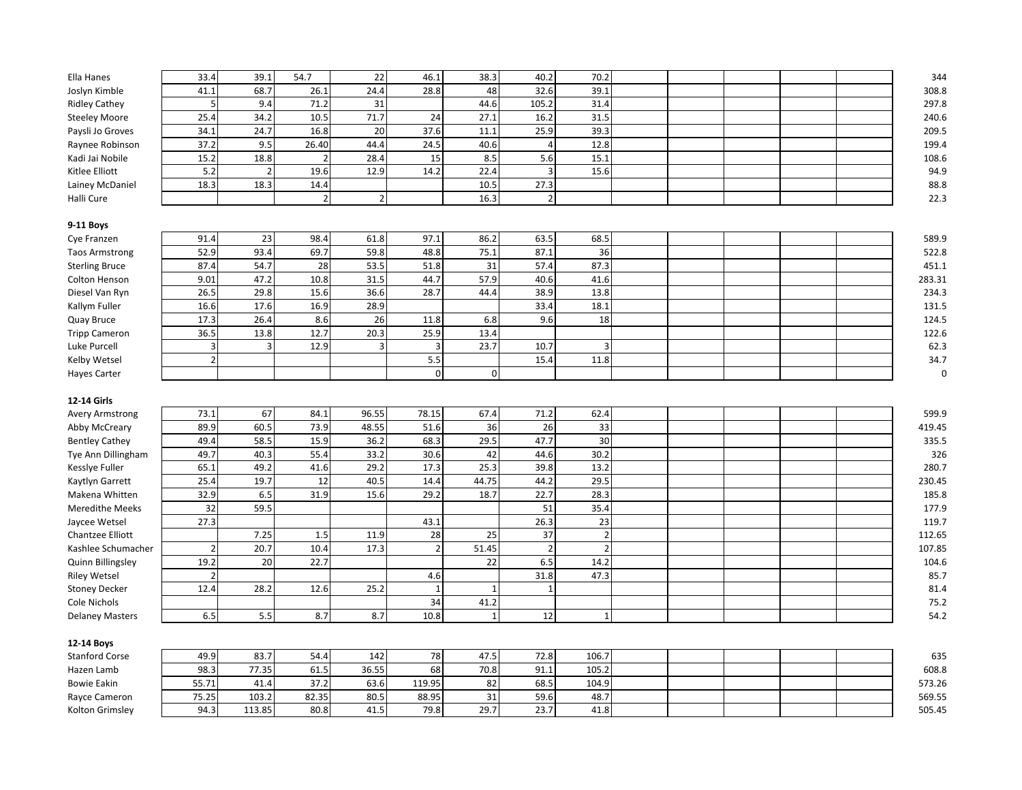| Ella Hanes             | 33.4                     | 39.1           | 54.7           | 22             | 46.1            | 38.3           | 40.2           | 70.2           |  |  | 344       |
|------------------------|--------------------------|----------------|----------------|----------------|-----------------|----------------|----------------|----------------|--|--|-----------|
| Joslyn Kimble          | 41.1                     | 68.7           | 26.1           | 24.4           | 28.8            | 48             | 32.6           | 39.1           |  |  | 308.8     |
| <b>Ridley Cathey</b>   | 5                        | 9.4            | 71.2           | 31             |                 | 44.6           | 105.2          | 31.4           |  |  | 297.8     |
| <b>Steeley Moore</b>   | 25.4                     | 34.2           | 10.5           | 71.7           | 24              | 27.1           | 16.2           | 31.5           |  |  | 240.6     |
| Paysli Jo Groves       | 34.1                     | 24.7           | 16.8           | 20             | 37.6            | 11.1           | 25.9           | 39.3           |  |  | 209.5     |
| Raynee Robinson        | 37.2                     | 9.5            | 26.40          | 44.4           | 24.5            | 40.6           | $\overline{4}$ | 12.8           |  |  | 199.4     |
| Kadi Jai Nobile        | 15.2                     | 18.8           | $\overline{2}$ | 28.4           | 15              | 8.5            | 5.6            | 15.1           |  |  | 108.6     |
| Kitlee Elliott         | 5.2                      | $\overline{2}$ | 19.6           | 12.9           | 14.2            | 22.4           | $\overline{3}$ | 15.6           |  |  | 94.9      |
| Lainey McDaniel        | 18.3                     | 18.3           | 14.4           |                |                 | 10.5           | 27.3           |                |  |  | 88.8      |
| Halli Cure             |                          |                | $\overline{2}$ | $\overline{2}$ |                 | 16.3           | $\overline{2}$ |                |  |  | 22.3      |
|                        |                          |                |                |                |                 |                |                |                |  |  |           |
| 9-11 Boys              |                          |                |                |                |                 |                |                |                |  |  |           |
| Cye Franzen            | 91.4                     | 23             | 98.4           | 61.8           | 97.1            | 86.2           | 63.5           | 68.5           |  |  | 589.9     |
| <b>Taos Armstrong</b>  | 52.9                     | 93.4           | 69.7           | 59.8           | 48.8            | 75.1           | 87.1           | 36             |  |  | 522.8     |
| <b>Sterling Bruce</b>  | 87.4                     | 54.7           | 28             | 53.5           | 51.8            | 31             | 57.4           | 87.3           |  |  | 451.1     |
| Colton Henson          | 9.01                     | 47.2           | 10.8           | 31.5           | 44.7            | 57.9           | 40.6           | 41.6           |  |  | 283.31    |
| Diesel Van Ryn         | 26.5                     | 29.8           | 15.6           | 36.6           | 28.7            | 44.4           | 38.9           | 13.8           |  |  | 234.3     |
| Kallym Fuller          | 16.6                     | 17.6           | 16.9           | 28.9           |                 |                | 33.4           | 18.1           |  |  | 131.5     |
| Quay Bruce             | 17.3                     | 26.4           | 8.6            | 26             | 11.8            | 6.8            | 9.6            | 18             |  |  | 124.5     |
| <b>Tripp Cameron</b>   | 36.5                     | 13.8           | 12.7           | 20.3           | 25.9            | 13.4           |                |                |  |  | 122.6     |
| Luke Purcell           | $\overline{3}$           | $\overline{3}$ | 12.9           | $\overline{3}$ | $\overline{3}$  | 23.7           | 10.7           | 3              |  |  | 62.3      |
| Kelby Wetsel           | $\overline{2}$           |                |                |                | 5.5             |                | 15.4           | 11.8           |  |  | 34.7      |
| <b>Hayes Carter</b>    |                          |                |                |                | $\mathbf 0$     | $\mathbf 0$    |                |                |  |  | $\pmb{0}$ |
|                        |                          |                |                |                |                 |                |                |                |  |  |           |
| 12-14 Girls            |                          |                |                |                |                 |                |                |                |  |  |           |
| Avery Armstrong        | 73.1                     | 67             | 84.1           | 96.55          | 78.15           | 67.4           | 71.2           | 62.4           |  |  | 599.9     |
| Abby McCreary          | 89.9                     | 60.5           | 73.9           | 48.55          | 51.6            | 36             | 26             | 33             |  |  | 419.45    |
| <b>Bentley Cathey</b>  | 49.4                     | 58.5           | 15.9           | 36.2           | 68.3            | 29.5           | 47.7           | 30             |  |  | 335.5     |
| Tye Ann Dillingham     | 49.7                     | 40.3           | 55.4           | 33.2           | 30.6            | 42             | 44.6           | 30.2           |  |  | 326       |
| Kessiye Fuller         | 65.1                     | 49.2           | 41.6           | 29.2           | 17.3            | 25.3           | 39.8           | 13.2           |  |  | 280.7     |
| Kaytlyn Garrett        | 25.4                     | 19.7           | 12             | 40.5           | 14.4            | 44.75          | 44.2           | 29.5           |  |  | 230.45    |
| Makena Whitten         | 32.9                     | 6.5            | 31.9           | 15.6           | 29.2            | 18.7           | 22.7           | 28.3           |  |  | 185.8     |
| <b>Meredithe Meeks</b> | 32                       | 59.5           |                |                |                 |                | 51             | 35.4           |  |  | 177.9     |
| Jaycee Wetsel          | 27.3                     |                |                |                | 43.1            |                | 26.3           | 23             |  |  | 119.7     |
| Chantzee Elliott       |                          | 7.25           | 1.5            | 11.9           | $\overline{28}$ | 25             | 37             | $\overline{2}$ |  |  | 112.65    |
| Kashlee Schumacher     | $\overline{2}$           | 20.7           | 10.4           | 17.3           | $\overline{2}$  | 51.45          | $\overline{2}$ | $\overline{2}$ |  |  | 107.85    |
| Quinn Billingsley      | 19.2                     | 20             | 22.7           |                |                 | 22             | 6.5            | 14.2           |  |  | 104.6     |
| <b>Riley Wetsel</b>    | $\overline{\phantom{a}}$ |                |                |                | 4.6             |                | 31.8           | 47.3           |  |  | 85.7      |
| <b>Stoney Decker</b>   | 12.4                     | 28.2           | 12.6           | 25.2           | $\mathbf{1}$    | $\overline{1}$ | $\mathbf{1}$   |                |  |  | 81.4      |
| Cole Nichols           |                          |                |                |                | 34              | 41.2           |                |                |  |  | 75.2      |
| <b>Delaney Masters</b> | 6.5                      | 5.5            | 8.7            | 8.7            | 10.8            | $\mathbf{1}$   | 12             | $\mathbf{1}$   |  |  | 54.2      |
|                        |                          |                |                |                |                 |                |                |                |  |  |           |
| 12-14 Boys             |                          |                |                |                |                 |                |                |                |  |  |           |
| <b>Stanford Corse</b>  | 49.9                     | 83.7           | 54.4           | 142            | 78              | 47.5           | 72.8           | 106.7          |  |  | 635       |
| Hazen Lamb             | 98.3                     | 77.35          | 61.5           | 36.55          | 68              | 70.8           | 91.1           | 105.2          |  |  | 608.8     |
| <b>Bowie Eakin</b>     | 55.71                    | 41.4           | 37.2           | 63.6           | 119.95          | 82             | 68.5           | 104.9          |  |  | 573.26    |
| Rayce Cameron          | 75.25                    | 103.2          | 82.35          | 80.5           | 88.95           | 31             | 59.6           | 48.7           |  |  | 569.55    |
| Kolton Grimsley        | 94.3                     | 113.85         | 80.8           | 41.5           | 79.8            | 29.7           | 23.7           | 41.8           |  |  | 505.45    |